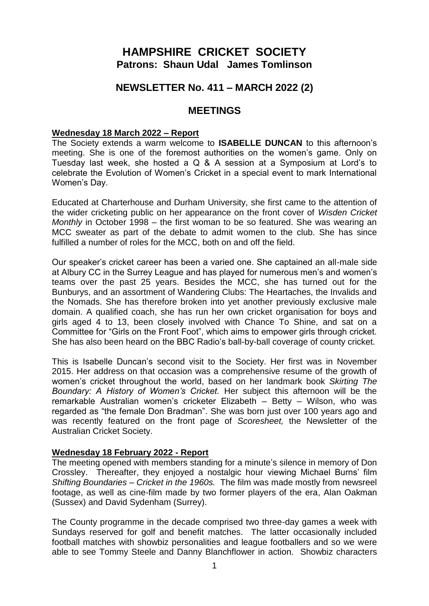# **HAMPSHIRE CRICKET SOCIETY Patrons: Shaun Udal James Tomlinson**

# **NEWSLETTER No. 411 – MARCH 2022 (2)**

## **MEETINGS**

#### **Wednesday 18 March 2022 – Report**

The Society extends a warm welcome to **ISABELLE DUNCAN** to this afternoon's meeting. She is one of the foremost authorities on the women's game. Only on Tuesday last week, she hosted a Q & A session at a Symposium at Lord's to celebrate the Evolution of Women's Cricket in a special event to mark International Women's Day.

Educated at Charterhouse and Durham University, she first came to the attention of the wider cricketing public on her appearance on the front cover of *Wisden Cricket Monthly* in October 1998 – the first woman to be so featured. She was wearing an MCC sweater as part of the debate to admit women to the club. She has since fulfilled a number of roles for the MCC, both on and off the field.

Our speaker's cricket career has been a varied one. She captained an all-male side at Albury CC in the Surrey League and has played for numerous men's and women's teams over the past 25 years. Besides the MCC, she has turned out for the Bunburys, and an assortment of Wandering Clubs: The Heartaches, the Invalids and the Nomads. She has therefore broken into yet another previously exclusive male domain. A qualified coach, she has run her own cricket organisation for boys and girls aged 4 to 13, been closely involved with Chance To Shine, and sat on a Committee for "Girls on the Front Foot", which aims to empower girls through cricket. She has also been heard on the BBC Radio's ball-by-ball coverage of county cricket.

This is Isabelle Duncan's second visit to the Society. Her first was in November 2015. Her address on that occasion was a comprehensive resume of the growth of women's cricket throughout the world, based on her landmark book *Skirting The Boundary: A History of Women's Cricket.* Her subject this afternoon will be the remarkable Australian women's cricketer Elizabeth – Betty – Wilson, who was regarded as "the female Don Bradman". She was born just over 100 years ago and was recently featured on the front page of *Scoresheet,* the Newsletter of the Australian Cricket Society.

#### **Wednesday 18 February 2022 - Report**

The meeting opened with members standing for a minute's silence in memory of Don Crossley. Thereafter, they enjoyed a nostalgic hour viewing Michael Burns' film *Shifting Boundaries – Cricket in the 1960s.* The film was made mostly from newsreel footage, as well as cine-film made by two former players of the era, Alan Oakman (Sussex) and David Sydenham (Surrey).

The County programme in the decade comprised two three-day games a week with Sundays reserved for golf and benefit matches. The latter occasionally included football matches with showbiz personalities and league footballers and so we were able to see Tommy Steele and Danny Blanchflower in action. Showbiz characters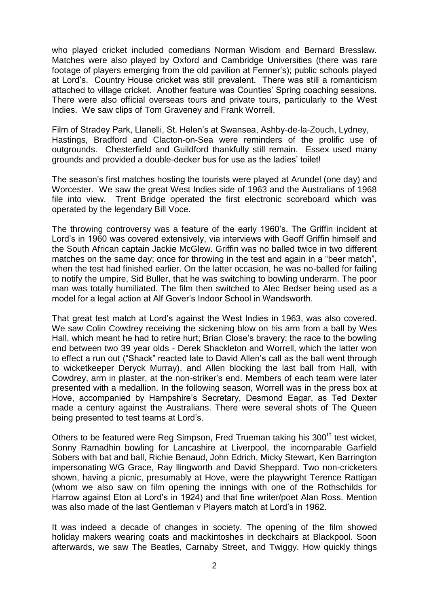who played cricket included comedians Norman Wisdom and Bernard Bresslaw. Matches were also played by Oxford and Cambridge Universities (there was rare footage of players emerging from the old pavilion at Fenner's); public schools played at Lord's. Country House cricket was still prevalent. There was still a romanticism attached to village cricket. Another feature was Counties' Spring coaching sessions. There were also official overseas tours and private tours, particularly to the West Indies. We saw clips of Tom Graveney and Frank Worrell.

Film of Stradey Park, Llanelli, St. Helen's at Swansea, Ashby-de-la-Zouch, Lydney, Hastings, Bradford and Clacton-on-Sea were reminders of the prolific use of outgrounds. Chesterfield and Guildford thankfully still remain. Essex used many grounds and provided a double-decker bus for use as the ladies' toilet!

The season's first matches hosting the tourists were played at Arundel (one day) and Worcester. We saw the great West Indies side of 1963 and the Australians of 1968 file into view. Trent Bridge operated the first electronic scoreboard which was operated by the legendary Bill Voce.

The throwing controversy was a feature of the early 1960's. The Griffin incident at Lord's in 1960 was covered extensively, via interviews with Geoff Griffin himself and the South African captain Jackie McGlew. Griffin was no balled twice in two different matches on the same day; once for throwing in the test and again in a "beer match", when the test had finished earlier. On the latter occasion, he was no-balled for failing to notify the umpire, Sid Buller, that he was switching to bowling underarm. The poor man was totally humiliated. The film then switched to Alec Bedser being used as a model for a legal action at Alf Gover's Indoor School in Wandsworth.

That great test match at Lord's against the West Indies in 1963, was also covered. We saw Colin Cowdrey receiving the sickening blow on his arm from a ball by Wes Hall, which meant he had to retire hurt; Brian Close's bravery; the race to the bowling end between two 39 year olds - Derek Shackleton and Worrell, which the latter won to effect a run out ("Shack" reacted late to David Allen's call as the ball went through to wicketkeeper Deryck Murray), and Allen blocking the last ball from Hall, with Cowdrey, arm in plaster, at the non-striker's end. Members of each team were later presented with a medallion. In the following season, Worrell was in the press box at Hove, accompanied by Hampshire's Secretary, Desmond Eagar, as Ted Dexter made a century against the Australians. There were several shots of The Queen being presented to test teams at Lord's.

Others to be featured were Reg Simpson, Fred Trueman taking his 300<sup>th</sup> test wicket, Sonny Ramadhin bowling for Lancashire at Liverpool, the incomparable Garfield Sobers with bat and ball, Richie Benaud, John Edrich, Micky Stewart, Ken Barrington impersonating WG Grace, Ray llingworth and David Sheppard. Two non-cricketers shown, having a picnic, presumably at Hove, were the playwright Terence Rattigan (whom we also saw on film opening the innings with one of the Rothschilds for Harrow against Eton at Lord's in 1924) and that fine writer/poet Alan Ross. Mention was also made of the last Gentleman v Players match at Lord's in 1962.

It was indeed a decade of changes in society. The opening of the film showed holiday makers wearing coats and mackintoshes in deckchairs at Blackpool. Soon afterwards, we saw The Beatles, Carnaby Street, and Twiggy. How quickly things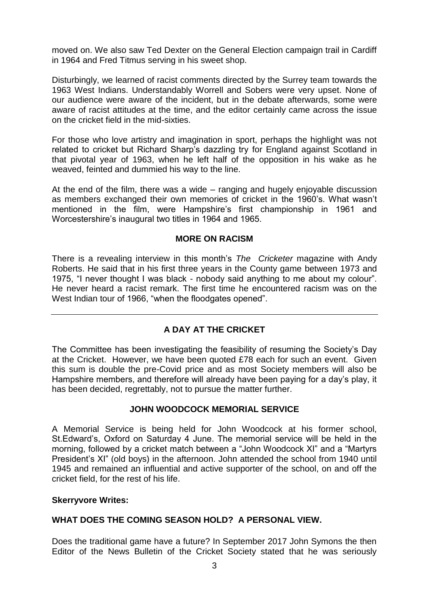moved on. We also saw Ted Dexter on the General Election campaign trail in Cardiff in 1964 and Fred Titmus serving in his sweet shop.

Disturbingly, we learned of racist comments directed by the Surrey team towards the 1963 West Indians. Understandably Worrell and Sobers were very upset. None of our audience were aware of the incident, but in the debate afterwards, some were aware of racist attitudes at the time, and the editor certainly came across the issue on the cricket field in the mid-sixties.

For those who love artistry and imagination in sport, perhaps the highlight was not related to cricket but Richard Sharp's dazzling try for England against Scotland in that pivotal year of 1963, when he left half of the opposition in his wake as he weaved, feinted and dummied his way to the line.

At the end of the film, there was a wide – ranging and hugely enjoyable discussion as members exchanged their own memories of cricket in the 1960's. What wasn't mentioned in the film, were Hampshire's first championship in 1961 and Worcestershire's inaugural two titles in 1964 and 1965.

### **MORE ON RACISM**

There is a revealing interview in this month's *The Cricketer* magazine with Andy Roberts. He said that in his first three years in the County game between 1973 and 1975, "I never thought I was black - nobody said anything to me about my colour". He never heard a racist remark. The first time he encountered racism was on the West Indian tour of 1966, "when the floodgates opened".

## **A DAY AT THE CRICKET**

The Committee has been investigating the feasibility of resuming the Society's Day at the Cricket. However, we have been quoted £78 each for such an event. Given this sum is double the pre-Covid price and as most Society members will also be Hampshire members, and therefore will already have been paying for a day's play, it has been decided, regrettably, not to pursue the matter further.

### **JOHN WOODCOCK MEMORIAL SERVICE**

A Memorial Service is being held for John Woodcock at his former school, St.Edward's, Oxford on Saturday 4 June. The memorial service will be held in the morning, followed by a cricket match between a "John Woodcock XI" and a "Martyrs President's XI" (old boys) in the afternoon. John attended the school from 1940 until 1945 and remained an influential and active supporter of the school, on and off the cricket field, for the rest of his life.

### **Skerryvore Writes:**

## **WHAT DOES THE COMING SEASON HOLD? A PERSONAL VIEW.**

Does the traditional game have a future? In September 2017 John Symons the then Editor of the News Bulletin of the Cricket Society stated that he was seriously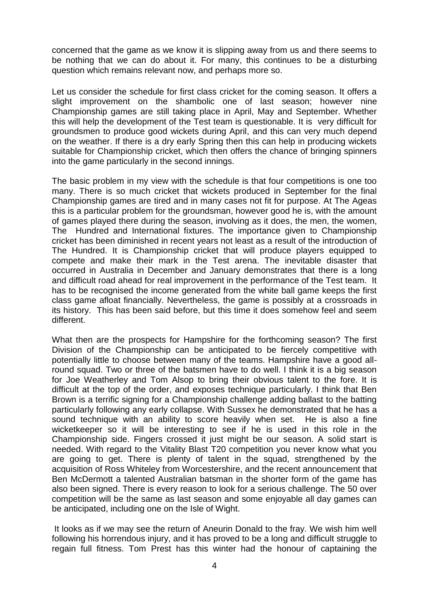concerned that the game as we know it is slipping away from us and there seems to be nothing that we can do about it. For many, this continues to be a disturbing question which remains relevant now, and perhaps more so.

Let us consider the schedule for first class cricket for the coming season. It offers a slight improvement on the shambolic one of last season; however nine Championship games are still taking place in April, May and September. Whether this will help the development of the Test team is questionable. It is very difficult for groundsmen to produce good wickets during April, and this can very much depend on the weather. If there is a dry early Spring then this can help in producing wickets suitable for Championship cricket, which then offers the chance of bringing spinners into the game particularly in the second innings.

The basic problem in my view with the schedule is that four competitions is one too many. There is so much cricket that wickets produced in September for the final Championship games are tired and in many cases not fit for purpose. At The Ageas this is a particular problem for the groundsman, however good he is, with the amount of games played there during the season, involving as it does, the men, the women, The Hundred and International fixtures. The importance given to Championship cricket has been diminished in recent years not least as a result of the introduction of The Hundred. It is Championship cricket that will produce players equipped to compete and make their mark in the Test arena. The inevitable disaster that occurred in Australia in December and January demonstrates that there is a long and difficult road ahead for real improvement in the performance of the Test team. It has to be recognised the income generated from the white ball game keeps the first class game afloat financially. Nevertheless, the game is possibly at a crossroads in its history. This has been said before, but this time it does somehow feel and seem different.

What then are the prospects for Hampshire for the forthcoming season? The first Division of the Championship can be anticipated to be fiercely competitive with potentially little to choose between many of the teams. Hampshire have a good allround squad. Two or three of the batsmen have to do well. I think it is a big season for Joe Weatherley and Tom Alsop to bring their obvious talent to the fore. It is difficult at the top of the order, and exposes technique particularly. I think that Ben Brown is a terrific signing for a Championship challenge adding ballast to the batting particularly following any early collapse. With Sussex he demonstrated that he has a sound technique with an ability to score heavily when set. He is also a fine wicketkeeper so it will be interesting to see if he is used in this role in the Championship side. Fingers crossed it just might be our season. A solid start is needed. With regard to the Vitality Blast T20 competition you never know what you are going to get. There is plenty of talent in the squad, strengthened by the acquisition of Ross Whiteley from Worcestershire, and the recent announcement that Ben McDermott a talented Australian batsman in the shorter form of the game has also been signed. There is every reason to look for a serious challenge. The 50 over competition will be the same as last season and some enjoyable all day games can be anticipated, including one on the Isle of Wight.

It looks as if we may see the return of Aneurin Donald to the fray. We wish him well following his horrendous injury, and it has proved to be a long and difficult struggle to regain full fitness. Tom Prest has this winter had the honour of captaining the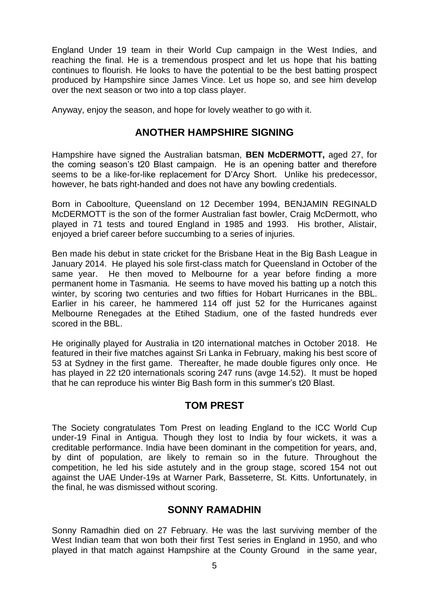England Under 19 team in their World Cup campaign in the West Indies, and reaching the final. He is a tremendous prospect and let us hope that his batting continues to flourish. He looks to have the potential to be the best batting prospect produced by Hampshire since James Vince. Let us hope so, and see him develop over the next season or two into a top class player.

Anyway, enjoy the season, and hope for lovely weather to go with it.

# **ANOTHER HAMPSHIRE SIGNING**

Hampshire have signed the Australian batsman, **BEN McDERMOTT,** aged 27, for the coming season's t20 Blast campaign. He is an opening batter and therefore seems to be a like-for-like replacement for D'Arcy Short. Unlike his predecessor, however, he bats right-handed and does not have any bowling credentials.

Born in Caboolture, Queensland on 12 December 1994, BENJAMIN REGINALD McDERMOTT is the son of the former Australian fast bowler, Craig McDermott, who played in 71 tests and toured England in 1985 and 1993. His brother, Alistair, enjoyed a brief career before succumbing to a series of injuries.

Ben made his debut in state cricket for the Brisbane Heat in the Big Bash League in January 2014. He played his sole first-class match for Queensland in October of the same year. He then moved to Melbourne for a year before finding a more permanent home in Tasmania. He seems to have moved his batting up a notch this winter, by scoring two centuries and two fifties for Hobart Hurricanes in the BBL. Earlier in his career, he hammered 114 off just 52 for the Hurricanes against Melbourne Renegades at the Etihed Stadium, one of the fasted hundreds ever scored in the BBL.

He originally played for Australia in t20 international matches in October 2018. He featured in their five matches against Sri Lanka in February, making his best score of 53 at Sydney in the first game. Thereafter, he made double figures only once. He has played in 22 t20 internationals scoring 247 runs (avge 14.52). It must be hoped that he can reproduce his winter Big Bash form in this summer's t20 Blast.

# **TOM PREST**

The Society congratulates Tom Prest on leading England to the ICC World Cup under-19 Final in Antigua. Though they lost to India by four wickets, it was a creditable performance. India have been dominant in the competition for years, and, by dint of population, are likely to remain so in the future. Throughout the competition, he led his side astutely and in the group stage, scored 154 not out against the UAE Under-19s at Warner Park, Basseterre, St. Kitts. Unfortunately, in the final, he was dismissed without scoring.

# **SONNY RAMADHIN**

Sonny Ramadhin died on 27 February. He was the last surviving member of the West Indian team that won both their first Test series in England in 1950, and who played in that match against Hampshire at the County Ground in the same year,